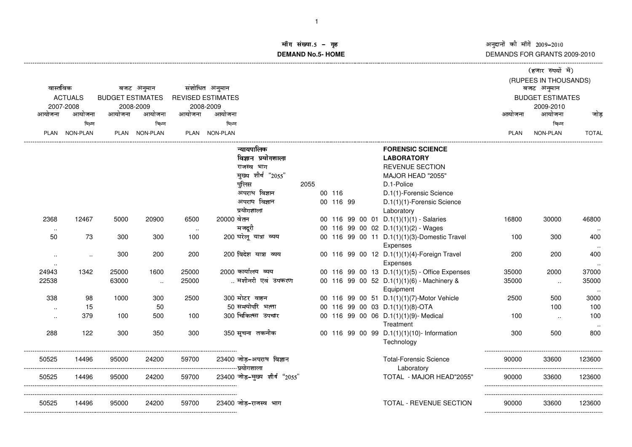--------------------------------------------------------------------------------------------------------------------------------------------------------------------------------------------------------------------------------------------------------------------------------------

## !DEMANDS FOR GRANTS 2009-2010

| वास्तविक<br>बजट अनुमान |                |        |                         |        | संशोधित अनुमान                                                   |                                                          | (हजार रुपयों में)<br>(RUPEES IN THOUSANDS)<br>बजट अनुमान |                 |                 |  |  |
|------------------------|----------------|--------|-------------------------|--------|------------------------------------------------------------------|----------------------------------------------------------|----------------------------------------------------------|-----------------|-----------------|--|--|
|                        | <b>ACTUALS</b> |        | <b>BUDGET ESTIMATES</b> |        | <b>REVISED ESTIMATES</b>                                         |                                                          | <b>BUDGET ESTIMATES</b>                                  |                 |                 |  |  |
| 2007-2008              |                |        | 2008-2009               |        | 2008-2009                                                        |                                                          | 2009-2010                                                |                 |                 |  |  |
| आयोजना                 | आयोजना         | आयोजना | आयोजना                  | आयोजना | आयोजना                                                           |                                                          | आयोजना                                                   | आयोजना          | जोड             |  |  |
|                        | भिन्न          |        | भिन्न                   |        | भिन्न                                                            |                                                          |                                                          | भिन्न           |                 |  |  |
|                        | PLAN NON-PLAN  |        | PLAN NON-PLAN           |        | PLAN NON-PLAN                                                    |                                                          | <b>PLAN</b>                                              | <b>NON-PLAN</b> | <b>TOTAL</b>    |  |  |
|                        |                |        |                         |        | न्यायपालिक                                                       | <b>FORENSIC SCIENCE</b>                                  |                                                          |                 |                 |  |  |
|                        |                |        |                         |        | विज्ञान प्रयोगशाला                                               | <b>LABORATORY</b>                                        |                                                          |                 |                 |  |  |
|                        |                |        |                         |        | राजस्व भाग                                                       | <b>REVENUE SECTION</b>                                   |                                                          |                 |                 |  |  |
|                        |                |        |                         |        | मुख्य शीर्ष "2055"                                               | MAJOR HEAD "2055"                                        |                                                          |                 |                 |  |  |
|                        |                |        |                         |        | पुलिस                                                            | D.1-Police<br>2055                                       |                                                          |                 |                 |  |  |
|                        |                |        |                         |        | अपराध विज्ञान                                                    | D.1(1)-Forensic Science<br>00 116                        |                                                          |                 |                 |  |  |
|                        |                |        |                         |        | अपराघ विज्ञान                                                    | 00 116 99<br>D.1(1)(1)-Forensic Science                  |                                                          |                 |                 |  |  |
|                        |                |        |                         |        | प्रयोगशाला                                                       | Laboratory                                               |                                                          |                 |                 |  |  |
| 2368                   | 12467          | 5000   | 20900                   | 6500   | 20000 वेतन                                                       | 00 116 99 00 01 D.1(1)(1)(1) - Salaries                  | 16800                                                    | 30000           | 46800           |  |  |
|                        |                |        |                         |        | मजदूरी                                                           | 00 116 99 00 02 D.1(1)(1)(2) - Wages                     |                                                          |                 |                 |  |  |
| 50                     | 73             | 300    | 300                     | 100    | 200 घरेलू यात्रा व्यय                                            | 00 116 99 00 11 D.1(1)(1)(3)-Domestic Travel<br>Expenses | 100                                                      | 300             | 400             |  |  |
| $\sim$                 | $\sim$         | 300    | 200                     | 200    | 200 विदेश यात्रा व्यय                                            | 00 116 99 00 12 D.1(1)(1)(4)-Foreign Travel              | 200                                                      | 200             | 400             |  |  |
| $\sim$                 |                |        |                         |        |                                                                  | Expenses                                                 |                                                          |                 |                 |  |  |
| 24943                  | 1342           | 25000  | 1600                    | 25000  | 2000 कार्यालय व्यय                                               | 00 116 99 00 13 D.1(1)(1)(5) - Office Expenses           | 35000                                                    | 2000            | 37000           |  |  |
| 22538                  |                | 63000  | $\sim$                  | 25000  | मशीनरी एवं उपकरण                                                 | 00 116 99 00 52 D.1(1)(1)(6) - Machinery &<br>Equipment  | 35000                                                    | $\ldots$        | 35000<br>$\sim$ |  |  |
| 338                    | 98             | 1000   | 300                     | 2500   | 300 मोटर वाहन                                                    | 00 116 99 00 51 D.1(1)(1)(7)-Motor Vehicle               | 2500                                                     | 500             | 3000            |  |  |
| $\ddotsc$              | 15             |        | 50                      |        | 50 समयोपरि भत्ता                                                 | 00 116 99 00 03 D.1(1)(1)(8)-OTA                         |                                                          | 100             | 100             |  |  |
| $\ddotsc$              | 379            | 100    | 500                     | 100    | 300 चिकित्सा उपचार                                               | 00 116 99 00 06 D.1(1)(1)(9)- Medical                    | 100                                                      | $\ddotsc$       | 100             |  |  |
|                        |                |        |                         |        |                                                                  | Treatment                                                |                                                          |                 |                 |  |  |
| 288                    | 122            | 300    | 350                     | 300    | 350 सूचना तकनीक                                                  | 00 116 99 00 99 D.1(1)(1)(10)- Information<br>Technology | 300                                                      | 500             | 800             |  |  |
| 50525                  | 14496          | 95000  | 24200                   | 59700  | 23400 जोड़-अपराध विज्ञान<br>------------------------- प्रयोगशाला | <b>Total-Forensic Science</b><br>Laboratory              | 90000<br>---------------                                 | 33600           | 123600          |  |  |
| 50525                  | 14496          | 95000  | 24200                   | 59700  | 23400 जोड़-मुख्य शीर्ष "2055"                                    | TOTAL - MAJOR HEAD"2055"                                 | 90000                                                    | 33600           | 123600          |  |  |
| 50525                  | 14496          | 95000  | 24200                   | 59700  | 23400 जोड़-राजस्व भाग                                            | TOTAL - REVENUE SECTION                                  | 90000                                                    | 33600           | 123600          |  |  |
|                        |                |        |                         |        |                                                                  |                                                          |                                                          |                 |                 |  |  |